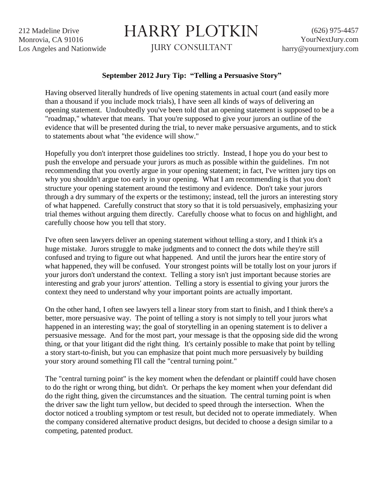212 Madeline Drive Monrovia, CA 91016 Los Angeles and Nationwide

## HARRY PLOTKIN

JURY CONSULTANT

## **September 2012 Jury Tip: "Telling a Persuasive Story"**

Having observed literally hundreds of live opening statements in actual court (and easily more than a thousand if you include mock trials), I have seen all kinds of ways of delivering an opening statement. Undoubtedly you've been told that an opening statement is supposed to be a "roadmap," whatever that means. That you're supposed to give your jurors an outline of the evidence that will be presented during the trial, to never make persuasive arguments, and to stick to statements about what "the evidence will show."

Hopefully you don't interpret those guidelines too strictly. Instead, I hope you do your best to push the envelope and persuade your jurors as much as possible within the guidelines. I'm not recommending that you overtly argue in your opening statement; in fact, I've written jury tips on why you shouldn't argue too early in your opening. What I am recommending is that you don't structure your opening statement around the testimony and evidence. Don't take your jurors through a dry summary of the experts or the testimony; instead, tell the jurors an interesting story of what happened. Carefully construct that story so that it is told persuasively, emphasizing your trial themes without arguing them directly. Carefully choose what to focus on and highlight, and carefully choose how you tell that story.

I've often seen lawyers deliver an opening statement without telling a story, and I think it's a huge mistake. Jurors struggle to make judgments and to connect the dots while they're still confused and trying to figure out what happened. And until the jurors hear the entire story of what happened, they will be confused. Your strongest points will be totally lost on your jurors if your jurors don't understand the context. Telling a story isn't just important because stories are interesting and grab your jurors' attention. Telling a story is essential to giving your jurors the context they need to understand why your important points are actually important.

On the other hand, I often see lawyers tell a linear story from start to finish, and I think there's a better, more persuasive way. The point of telling a story is not simply to tell your jurors what happened in an interesting way; the goal of storytelling in an opening statement is to deliver a persuasive message. And for the most part, your message is that the opposing side did the wrong thing, or that your litigant did the right thing. It's certainly possible to make that point by telling a story start-to-finish, but you can emphasize that point much more persuasively by building your story around something I'll call the "central turning point."

The "central turning point" is the key moment when the defendant or plaintiff could have chosen to do the right or wrong thing, but didn't. Or perhaps the key moment when your defendant did do the right thing, given the circumstances and the situation. The central turning point is when the driver saw the light turn yellow, but decided to speed through the intersection. When the doctor noticed a troubling symptom or test result, but decided not to operate immediately. When the company considered alternative product designs, but decided to choose a design similar to a competing, patented product.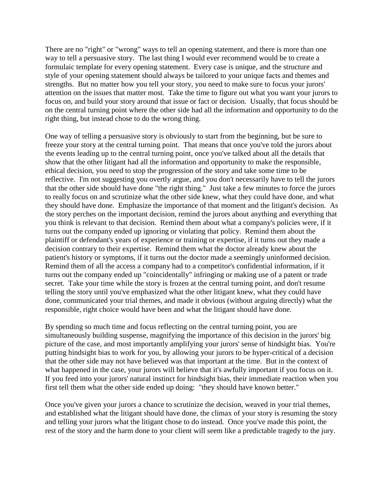There are no "right" or "wrong" ways to tell an opening statement, and there is more than one way to tell a persuasive story. The last thing I would ever recommend would be to create a formulaic template for every opening statement. Every case is unique, and the structure and style of your opening statement should always be tailored to your unique facts and themes and strengths. But no matter how you tell your story, you need to make sure to focus your jurors' attention on the issues that matter most. Take the time to figure out what you want your jurors to focus on, and build your story around that issue or fact or decision. Usually, that focus should be on the central turning point where the other side had all the information and opportunity to do the right thing, but instead chose to do the wrong thing.

One way of telling a persuasive story is obviously to start from the beginning, but be sure to freeze your story at the central turning point. That means that once you've told the jurors about the events leading up to the central turning point, once you've talked about all the details that show that the other litigant had all the information and opportunity to make the responsible, ethical decision, you need to stop the progression of the story and take some time to be reflective. I'm not suggesting you overtly argue, and you don't necessarily have to tell the jurors that the other side should have done "the right thing." Just take a few minutes to force the jurors to really focus on and scrutinize what the other side knew, what they could have done, and what they should have done. Emphasize the importance of that moment and the litigant's decision. As the story perches on the important decision, remind the jurors about anything and everything that you think is relevant to that decision. Remind them about what a company's policies were, if it turns out the company ended up ignoring or violating that policy. Remind them about the plaintiff or defendant's years of experience or training or expertise, if it turns out they made a decision contrary to their expertise. Remind them what the doctor already knew about the patient's history or symptoms, if it turns out the doctor made a seemingly uninformed decision. Remind them of all the access a company had to a competitor's confidential information, if it turns out the company ended up "coincidentally" infringing or making use of a patent or trade secret. Take your time while the story is frozen at the central turning point, and don't resume telling the story until you've emphasized what the other litigant knew, what they could have done, communicated your trial themes, and made it obvious (without arguing directly) what the responsible, right choice would have been and what the litigant should have done.

By spending so much time and focus reflecting on the central turning point, you are simultaneously building suspense, magnifying the importance of this decision in the jurors' big picture of the case, and most importantly amplifying your jurors' sense of hindsight bias. You're putting hindsight bias to work for you, by allowing your jurors to be hyper-critical of a decision that the other side may not have believed was that important at the time. But in the context of what happened in the case, your jurors will believe that it's awfully important if you focus on it. If you feed into your jurors' natural instinct for hindsight bias, their immediate reaction when you first tell them what the other side ended up doing: "they should have known better."

Once you've given your jurors a chance to scrutinize the decision, weaved in your trial themes, and established what the litigant should have done, the climax of your story is resuming the story and telling your jurors what the litigant chose to do instead. Once you've made this point, the rest of the story and the harm done to your client will seem like a predictable tragedy to the jury.